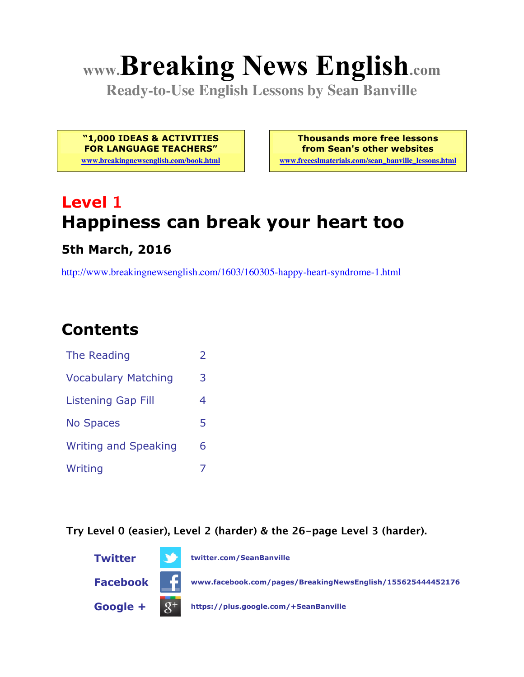# **www.Breaking News English.com**

**Ready-to-Use English Lessons by Sean Banville**

**"1,000 IDEAS & ACTIVITIES FOR LANGUAGE TEACHERS"**

**www.breakingnewsenglish.com/book.html**

**Thousands more free lessons from Sean's other websites**

**www.freeeslmaterials.com/sean\_banville\_lessons.html**

## **Level 1 Happiness can break your heart too**

#### **5th March, 2016**

http://www.breakingnewsenglish.com/1603/160305-happy-heart-syndrome-1.html

### **Contents**

| The Reading                 | フ |
|-----------------------------|---|
| <b>Vocabulary Matching</b>  | 3 |
| <b>Listening Gap Fill</b>   | 4 |
| <b>No Spaces</b>            | 5 |
| <b>Writing and Speaking</b> | 6 |
| Writing                     |   |

**Try Level 0 (easier), Level 2 (harder) & the 26-page Level 3 (harder).**

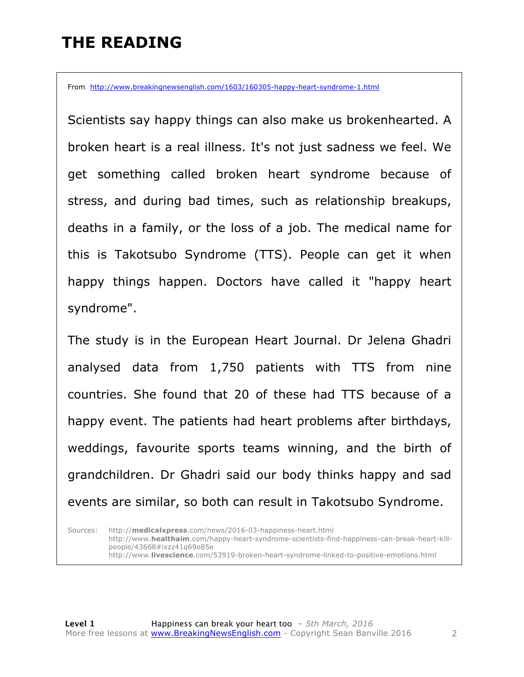### **THE READING**

From http://www.breakingnewsenglish.com/1603/160305-happy-heart-syndrome-1.html

Scientists say happy things can also make us brokenhearted. A broken heart is a real illness. It's not just sadness we feel. We get something called broken heart syndrome because of stress, and during bad times, such as relationship breakups, deaths in a family, or the loss of a job. The medical name for this is Takotsubo Syndrome (TTS). People can get it when happy things happen. Doctors have called it "happy heart syndrome".

The study is in the European Heart Journal. Dr Jelena Ghadri analysed data from 1,750 patients with TTS from nine countries. She found that 20 of these had TTS because of a happy event. The patients had heart problems after birthdays, weddings, favourite sports teams winning, and the birth of grandchildren. Dr Ghadri said our body thinks happy and sad events are similar, so both can result in Takotsubo Syndrome.

Sources: http://**medicalxpress**.com/news/2016-03-happiness-heart.html http://www.**healthaim**.com/happy-heart-syndrome-scientists-find-happiness-can-break-heart-killpeople/43668#ixzz41q69o85e http://www.**livescience**.com/53919-broken-heart-syndrome-linked-to-positive-emotions.html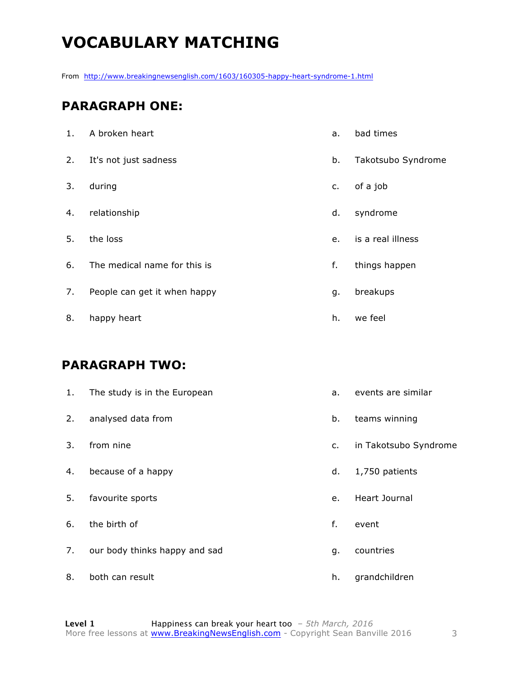### **VOCABULARY MATCHING**

From http://www.breakingnewsenglish.com/1603/160305-happy-heart-syndrome-1.html

#### **PARAGRAPH ONE:**

| 1. | A broken heart               | a. | bad times          |
|----|------------------------------|----|--------------------|
| 2. | It's not just sadness        | b. | Takotsubo Syndrome |
| 3. | during                       | c. | of a job           |
| 4. | relationship                 | d. | syndrome           |
| 5. | the loss                     | e. | is a real illness  |
| 6. | The medical name for this is | f. | things happen      |
| 7. | People can get it when happy | g. | breakups           |
| 8. | happy heart                  | h. | we feel            |

#### **PARAGRAPH TWO:**

| 1. | The study is in the European  | a. | events are similar    |
|----|-------------------------------|----|-----------------------|
| 2. | analysed data from            | b. | teams winning         |
| 3. | from nine                     | c. | in Takotsubo Syndrome |
| 4. | because of a happy            | d. | 1,750 patients        |
| 5. | favourite sports              | e. | Heart Journal         |
| 6. | the birth of                  | f. | event                 |
| 7. | our body thinks happy and sad | g. | countries             |
| 8. | both can result               | h. | grandchildren         |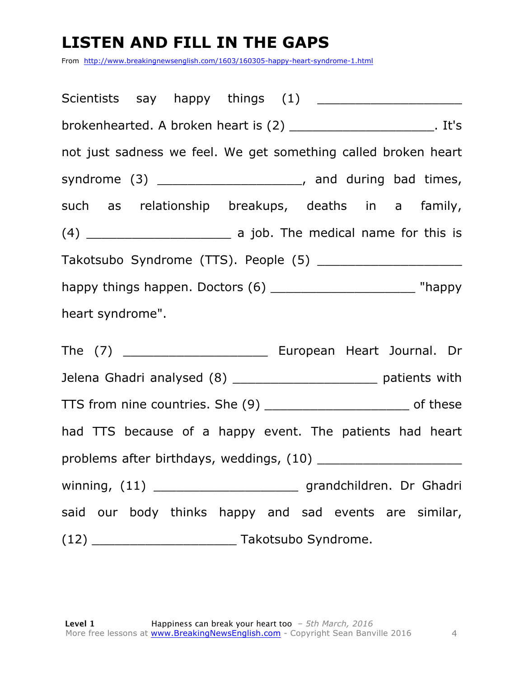### **LISTEN AND FILL IN THE GAPS**

From http://www.breakingnewsenglish.com/1603/160305-happy-heart-syndrome-1.html

Scientists say happy things (1) brokenhearted. A broken heart is (2) \_\_\_\_\_\_\_\_\_\_\_\_\_\_\_\_\_\_\_. It's not just sadness we feel. We get something called broken heart syndrome (3) \_\_\_\_\_\_\_\_\_\_\_\_\_\_\_\_\_\_\_\_\_, and during bad times, such as relationship breakups, deaths in a family, (4) \_\_\_\_\_\_\_\_\_\_\_\_\_\_\_\_\_\_\_ a job. The medical name for this is Takotsubo Syndrome (TTS). People (5) \_\_\_\_\_\_\_\_\_\_\_\_\_\_\_\_\_\_\_ happy things happen. Doctors (6) \_\_\_\_\_\_\_\_\_\_\_\_\_\_\_\_\_\_\_\_\_\_\_\_ "happy heart syndrome".

The (7) \_\_\_\_\_\_\_\_\_\_\_\_\_\_\_\_\_\_\_\_\_\_\_\_\_ European Heart Journal. Dr Jelena Ghadri analysed (8) \_\_\_\_\_\_\_\_\_\_\_\_\_\_\_\_\_\_\_\_\_\_\_ patients with TTS from nine countries. She (9) \_\_\_\_\_\_\_\_\_\_\_\_\_\_\_\_\_\_\_ of these had TTS because of a happy event. The patients had heart problems after birthdays, weddings, (10) \_\_\_\_\_\_\_\_\_\_\_\_\_\_\_\_\_\_\_ winning, (11) \_\_\_\_\_\_\_\_\_\_\_\_\_\_\_\_\_\_\_\_\_\_\_\_\_ grandchildren. Dr Ghadri said our body thinks happy and sad events are similar, (12) \_\_\_\_\_\_\_\_\_\_\_\_\_\_\_\_\_\_\_ Takotsubo Syndrome.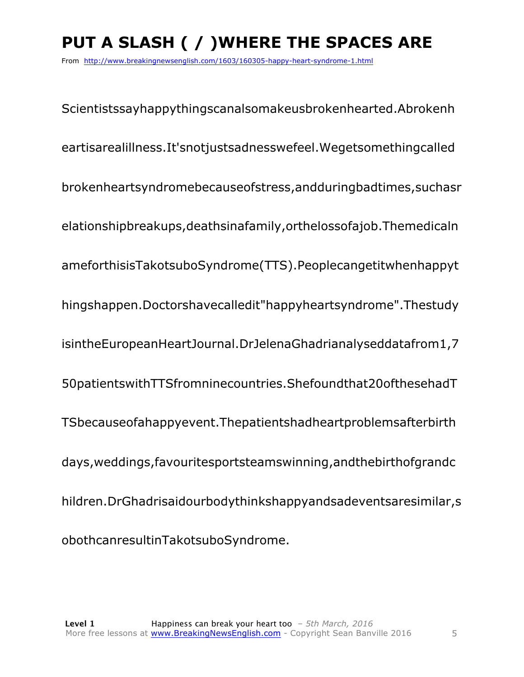### **PUT A SLASH ( / )WHERE THE SPACES ARE**

From http://www.breakingnewsenglish.com/1603/160305-happy-heart-syndrome-1.html

Scientistssayhappythingscanalsomakeusbrokenhearted.Abrokenh eartisarealillness.It'snotjustsadnesswefeel.Wegetsomethingcalled brokenheartsyndromebecauseofstress,andduringbadtimes,suchasr elationshipbreakups,deathsinafamily,orthelossofajob.Themedicaln ameforthisisTakotsuboSyndrome(TTS).Peoplecangetitwhenhappyt hingshappen.Doctorshavecalledit"happyheartsyndrome".Thestudy isintheEuropeanHeartJournal.DrJelenaGhadrianalyseddatafrom1,7 50patientswithTTSfromninecountries.Shefoundthat20ofthesehadT TSbecauseofahappyevent.Thepatientshadheartproblemsafterbirth days,weddings,favouritesportsteamswinning,andthebirthofgrandc hildren.DrGhadrisaidourbodythinkshappyandsadeventsaresimilar,s obothcanresultinTakotsuboSyndrome.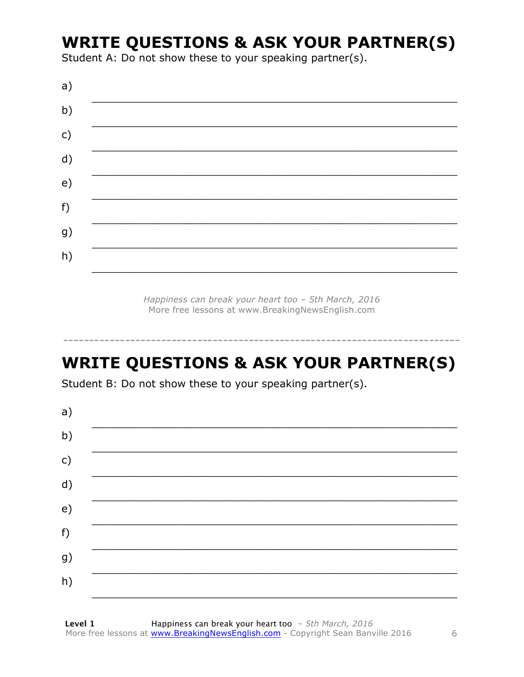### **WRITE QUESTIONS & ASK YOUR PARTNER(S)**

Student A: Do not show these to your speaking partner(s).

| a) |  |  |
|----|--|--|
| b) |  |  |
| c) |  |  |
| d) |  |  |
| e) |  |  |
| f) |  |  |
| g) |  |  |
| h) |  |  |
|    |  |  |

Happiness can break your heart too - 5th March, 2016 More free lessons at www.BreakingNewsEnglish.com

### **WRITE QUESTIONS & ASK YOUR PARTNER(S)**

Student B: Do not show these to your speaking partner(s).